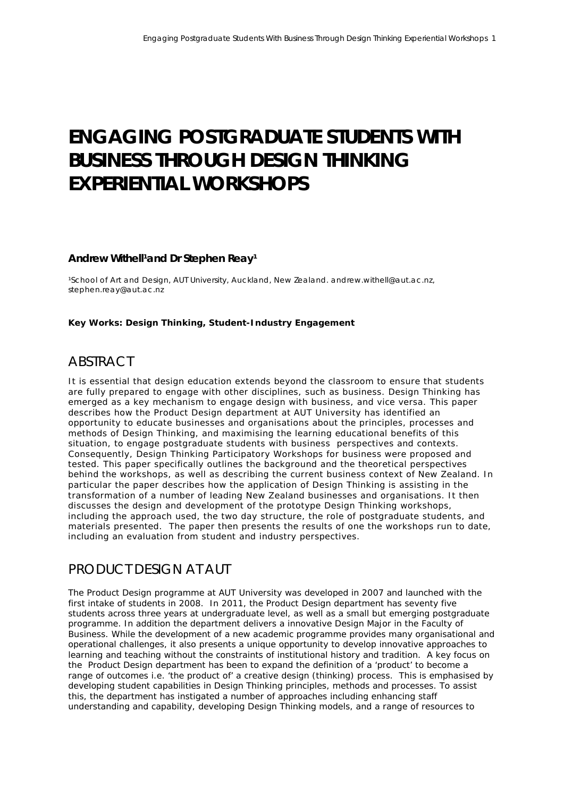# **ENGAGING POSTGRADUATE STUDENTS WITH BUSINESS THROUGH DESIGN THINKING EXPERIENTIAL WORKSHOPS**

#### Andrew Withell<sup>1</sup>and Dr Stephen Reay<sup>1</sup>

<sup>1</sup>School of Art and Design, AUT University, Auckland, New Zealand. andrew.withell@aut.ac.nz, stephen.reay@aut.ac.nz

#### **Key Works: Design Thinking, Student-Industry Engagement**

#### **ABSTRACT**

It is essential that design education extends beyond the classroom to ensure that students are fully prepared to engage with other disciplines, such as business. Design Thinking has emerged as a key mechanism to engage design with business, and vice versa. This paper describes how the Product Design department at AUT University has identified an opportunity to educate businesses and organisations about the principles, processes and methods of Design Thinking, and maximising the learning educational benefits of this situation, to engage postgraduate students with business perspectives and contexts. Consequently, Design Thinking Participatory Workshops for business were proposed and tested. This paper specifically outlines the background and the theoretical perspectives behind the workshops, as well as describing the current business context of New Zealand. In particular the paper describes how the application of Design Thinking is assisting in the transformation of a number of leading New Zealand businesses and organisations. It then discusses the design and development of the prototype Design Thinking workshops, including the approach used, the two day structure, the role of postgraduate students, and materials presented. The paper then presents the results of one the workshops run to date, including an evaluation from student and industry perspectives.

#### PRODUCT DESIGN AT AUT

The Product Design programme at AUT University was developed in 2007 and launched with the first intake of students in 2008. In 2011, the Product Design department has seventy five students across three years at undergraduate level, as well as a small but emerging postgraduate programme. In addition the department delivers a innovative Design Major in the Faculty of Business. While the development of a new academic programme provides many organisational and operational challenges, it also presents a unique opportunity to develop innovative approaches to learning and teaching without the constraints of institutional history and tradition. A key focus on the Product Design department has been to expand the definition of a 'product' to become a range of outcomes i.e. 'the product of' a creative design (thinking) process. This is emphasised by developing student capabilities in Design Thinking principles, methods and processes. To assist this, the department has instigated a number of approaches including enhancing staff understanding and capability, developing Design Thinking models, and a range of resources to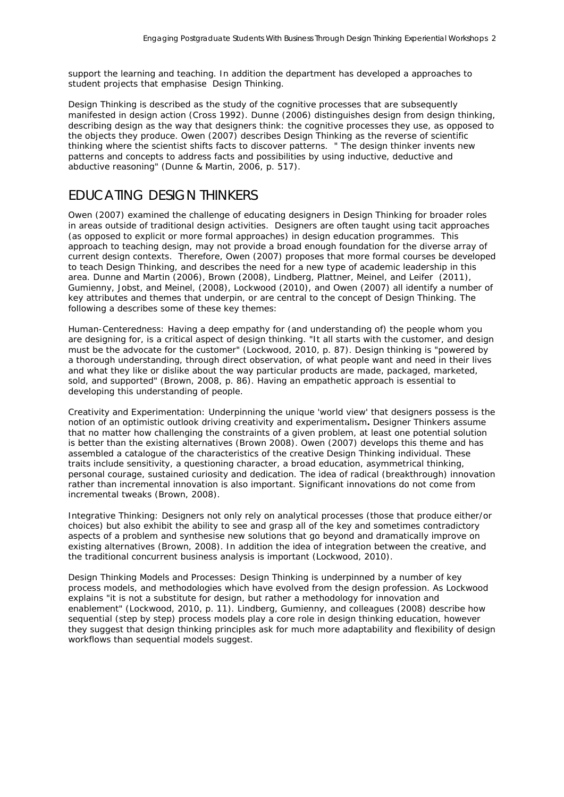support the learning and teaching. In addition the department has developed a approaches to student projects that emphasise Design Thinking.

Design Thinking is described as the study of the cognitive processes that are subsequently manifested in design action (Cross 1992). Dunne [\(2006\)](#page-9-0) distinguishes design from design thinking, describing design as the way that designers think: the cognitive processes they use, as opposed to the objects they produce. Owen [\(2007\)](#page-10-0) describes Design Thinking as the reverse of scientific thinking where the scientist shifts facts to discover patterns. " The design thinker invents new patterns and concepts to address facts and possibilities by using inductive, deductive and abductive reasoning" [\(Dunne & Martin, 2006, p. 517\)](#page-9-0).

### EDUCATING DESIGN THINKERS

Owen [\(2007\)](#page-10-0) examined the challenge of educating designers in Design Thinking for broader roles in areas outside of traditional design activities. Designers are often taught using tacit approaches (as opposed to explicit or more formal approaches) in design education programmes. This approach to teaching design, may not provide a broad enough foundation for the diverse array of current design contexts. Therefore, Owen (2007) proposes that more formal courses be developed to teach Design Thinking, and describes the need for a new type of academic leadership in this area. Dunne and Martin [\(2006\)](#page-9-0), Brown [\(2008\)](#page-9-1), Lindberg, Plattner, Meinel, and Leifer [\(2011\)](#page-10-1), Gumienny, Jobst, and Meinel, [\(2008\)](#page-10-2), Lockwood [\(2010\)](#page-10-3), and Owen [\(2007\)](#page-10-0) all identify a number of key attributes and themes that underpin, or are central to the concept of Design Thinking. The following a describes some of these key themes:

Human-Centeredness: Having a deep empathy for (and understanding of) the people whom you are designing for, is a critical aspect of design thinking. "It all starts with the customer, and design must be the advocate for the customer" [\(Lockwood, 2010, p. 87\)](#page-10-3). Design thinking is "powered by a thorough understanding, through direct observation, of what people want and need in their lives and what they like or dislike about the way particular products are made, packaged, marketed, sold, and supported" [\(Brown, 2008, p. 86\)](#page-9-1). Having an empathetic approach is essential to developing this understanding of people.

Creativity and Experimentation: Underpinning the unique 'world view' that designers possess is the notion of an optimistic outlook driving creativity and experimentalism**.** Designer Thinkers assume that no matter how challenging the constraints of a given problem, at least one potential solution is better than the existing alternatives (Brown 2008). Owen [\(2007\)](#page-10-0) develops this theme and has assembled a catalogue of the characteristics of the creative Design Thinking individual. These traits include sensitivity, a questioning character, a broad education, asymmetrical thinking, personal courage, sustained curiosity and dedication. The idea of radical (breakthrough) innovation rather than incremental innovation is also important. Significant innovations do not come from incremental tweaks (Brown, 2008).

Integrative Thinking: Designers not only rely on analytical processes (those that produce either/or choices) but also exhibit the ability to see and grasp all of the key and sometimes contradictory aspects of a problem and synthesise new solutions that go beyond and dramatically improve on existing alternatives [\(Brown, 2008\)](#page-10-4). In addition the idea of integration between the creative, and the traditional concurrent business analysis is important (Lockwood, 2010).

Design Thinking Models and Processes: Design Thinking is underpinned by a number of key process models, and methodologies which have evolved from the design profession. As Lockwood explains "it is not a substitute for design, but rather a methodology for innovation and enablement" (Lockwood, 2010, p. 11). [Lindberg, Gumienny, and colleagues \(](#page-9-2)2008) describe how sequential (step by step) process models play a core role in design thinking education, however they suggest that design thinking principles ask for much more adaptability and flexibility of design workflows than sequential models suggest.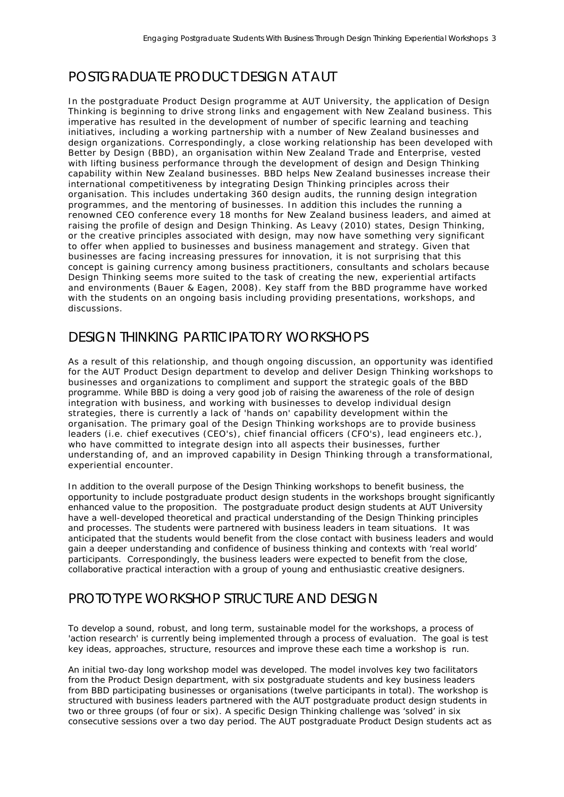# POSTGRADUATE PRODUCT DESIGN AT AUT

In the postgraduate Product Design programme at AUT University, the application of Design Thinking is beginning to drive strong links and engagement with New Zealand business. This imperative has resulted in the development of number of specific learning and teaching initiatives, including a working partnership with a number of New Zealand businesses and design organizations. Correspondingly, a close working relationship has been developed with Better by Design (BBD), an organisation within New Zealand Trade and Enterprise, vested with lifting business performance through the development of design and Design Thinking capability within New Zealand businesses. BBD helps New Zealand businesses increase their international competitiveness by integrating Design Thinking principles across their organisation. This includes undertaking 360 design audits, the running design integration programmes, and the mentoring of businesses. In addition this includes the running a renowned CEO conference every 18 months for New Zealand business leaders, and aimed at raising the profile of design and Design Thinking. As Leavy [\(2010\)](#page-10-4) states, Design Thinking, or the creative principles associated with design, may now have something very significant to offer when applied to businesses and business management and strategy. Given that businesses are facing increasing pressures for innovation, it is not surprising that this concept is gaining currency among business practitioners, consultants and scholars because Design Thinking seems more suited to the task of creating the new, experiential artifacts and environments [\(Bauer & Eagen, 2008\)](#page-9-3). Key staff from the BBD programme have worked with the students on an ongoing basis including providing presentations, workshops, and discussions.

## DESIGN THINKING PARTICIPATORY WORKSHOPS

As a result of this relationship, and though ongoing discussion, an opportunity was identified for the AUT Product Design department to develop and deliver Design Thinking workshops to businesses and organizations to compliment and support the strategic goals of the BBD programme. While BBD is doing a very good job of raising the awareness of the role of design integration with business, and working with businesses to develop individual design strategies, there is currently a lack of 'hands on' capability development within the organisation. The primary goal of the Design Thinking workshops are to provide business leaders (i.e. chief executives (CEO's), chief financial officers (CFO's), lead engineers etc.), who have committed to integrate design into all aspects their businesses, further understanding of, and an improved capability in Design Thinking through a transformational, experiential encounter.

In addition to the overall purpose of the Design Thinking workshops to benefit business, the opportunity to include postgraduate product design students in the workshops brought significantly enhanced value to the proposition. The postgraduate product design students at AUT University have a well-developed theoretical and practical understanding of the Design Thinking principles and processes. The students were partnered with business leaders in team situations. It was anticipated that the students would benefit from the close contact with business leaders and would gain a deeper understanding and confidence of business thinking and contexts with 'real world' participants. Correspondingly, the business leaders were expected to benefit from the close, collaborative practical interaction with a group of young and enthusiastic creative designers.

### PROTOTYPE WORKSHOP STRUCTURE AND DESIGN

To develop a sound, robust, and long term, sustainable model for the workshops, a process of 'action research' is currently being implemented through a process of evaluation. The goal is test key ideas, approaches, structure, resources and improve these each time a workshop is run.

An initial two-day long workshop model was developed. The model involves key two facilitators from the Product Design department, with six postgraduate students and key business leaders from BBD participating businesses or organisations (twelve participants in total). The workshop is structured with business leaders partnered with the AUT postgraduate product design students in two or three groups (of four or six). A specific Design Thinking challenge was 'solved' in six consecutive sessions over a two day period. The AUT postgraduate Product Design students act as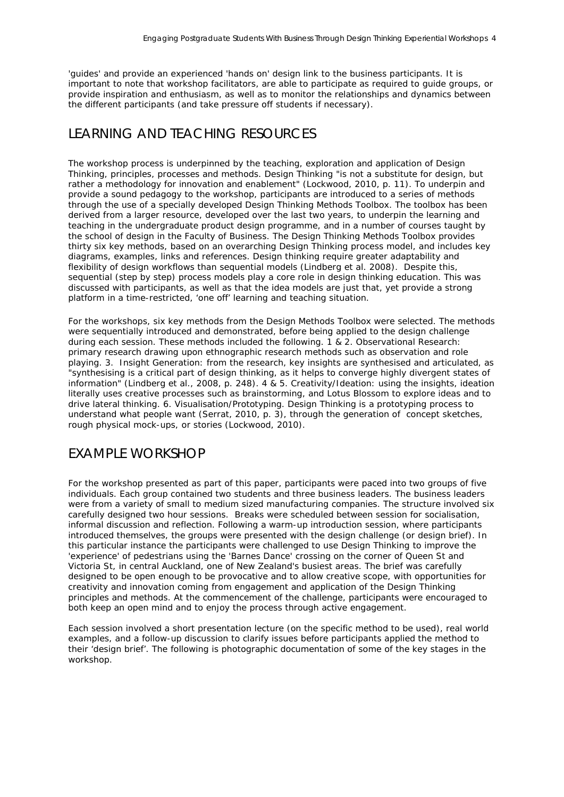'guides' and provide an experienced 'hands on' design link to the business participants. It is important to note that workshop facilitators, are able to participate as required to guide groups, or provide inspiration and enthusiasm, as well as to monitor the relationships and dynamics between the different participants (and take pressure off students if necessary).

### LEARNING AND TEACHING RESOURCES

The workshop process is underpinned by the teaching, exploration and application of Design Thinking, principles, processes and methods. Design Thinking "is not a substitute for design, but rather a methodology for innovation and enablement" [\(Lockwood, 2010, p. 11\)](#page-9-4). To underpin and provide a sound pedagogy to the workshop, participants are introduced to a series of methods through the use of a specially developed Design Thinking Methods Toolbox. The toolbox has been derived from a larger resource, developed over the last two years, to underpin the learning and teaching in the undergraduate product design programme, and in a number of courses taught by the school of design in the Faculty of Business. The Design Thinking Methods Toolbox provides thirty six key methods, based on an overarching Design Thinking process model, and includes key diagrams, examples, links and references. Design thinking require greater adaptability and flexibility of design workflows than sequential models (Lindberg et al. 2008). Despite this, sequential (step by step) process models play a core role in design thinking education. This was discussed with participants, as well as that the idea models are just that, yet provide a strong platform in a time-restricted, 'one off' learning and teaching situation.

For the workshops, six key methods from the Design Methods Toolbox were selected. The methods were sequentially introduced and demonstrated, before being applied to the design challenge during each session. These methods included the following. 1 & 2. Observational Research: primary research drawing upon ethnographic research methods such as observation and role playing. 3. Insight Generation: from the research, key insights are synthesised and articulated, as "synthesising is a critical part of design thinking, as it helps to converge highly divergent states of information" [\(Lindberg et al., 2008, p. 248\)](#page-9-0). 4 & 5. Creativity/Ideation: using the insights, ideation literally uses creative processes such as brainstorming, and Lotus Blossom to explore ideas and to drive lateral thinking. 6. Visualisation/Prototyping. Design Thinking is a prototyping process to understand what people want [\(Serrat, 2010, p. 3\)](#page-10-3), through the generation of concept sketches, rough physical mock-ups, or stories [\(Lockwood, 2010\)](#page-9-4).

### EXAMPLE WORKSHOP

For the workshop presented as part of this paper, participants were paced into two groups of five individuals. Each group contained two students and three business leaders. The business leaders were from a variety of small to medium sized manufacturing companies. The structure involved six carefully designed two hour sessions. Breaks were scheduled between session for socialisation, informal discussion and reflection. Following a warm-up introduction session, where participants introduced themselves, the groups were presented with the design challenge (or design brief). In this particular instance the participants were challenged to use Design Thinking to improve the 'experience' of pedestrians using the 'Barnes Dance' crossing on the corner of Queen St and Victoria St, in central Auckland, one of New Zealand's busiest areas. The brief was carefully designed to be open enough to be provocative and to allow creative scope, with opportunities for creativity and innovation coming from engagement and application of the Design Thinking principles and methods. At the commencement of the challenge, participants were encouraged to both keep an open mind and to enjoy the process through active engagement.

Each session involved a short presentation lecture (on the specific method to be used), real world examples, and a follow-up discussion to clarify issues before participants applied the method to their 'design brief'. The following is photographic documentation of some of the key stages in the workshop.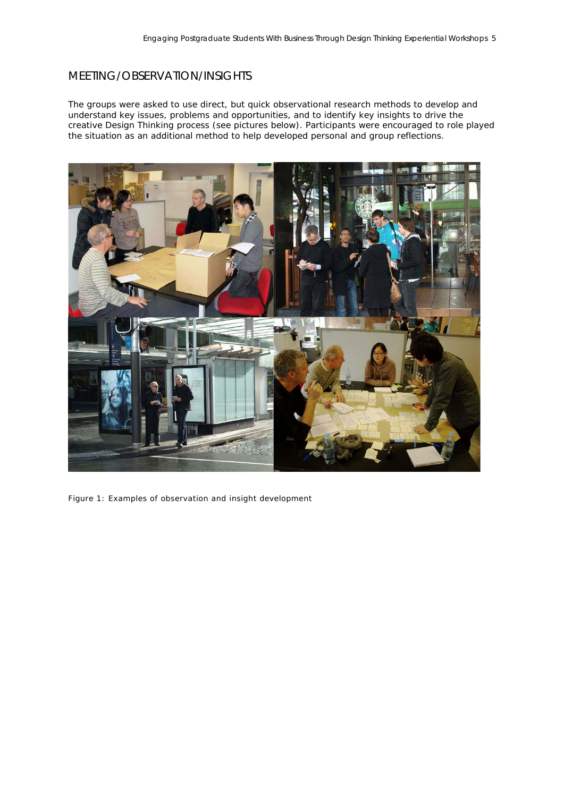#### MEETING/OBSERVATION/INSIGHTS

The groups were asked to use direct, but quick observational research methods to develop and understand key issues, problems and opportunities, and to identify key insights to drive the creative Design Thinking process (see pictures below). Participants were encouraged to role played the situation as an additional method to help developed personal and group reflections.



Figure 1: Examples of observation and insight development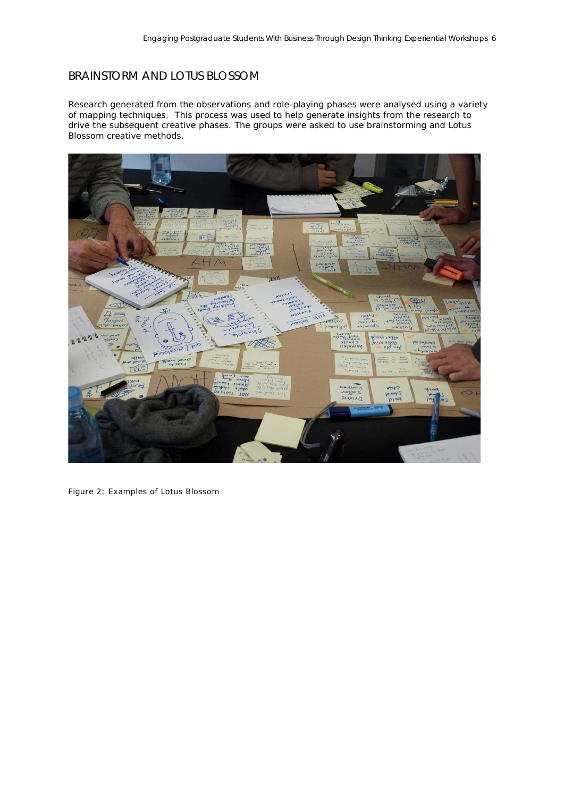#### BRAINSTORM AND LOTUS BLOSSOM

Research generated from the observations and role-playing phases were analysed using a variety of mapping techniques. This process was used to help generate insights from the research to drive the subsequent creative phases. The groups were asked to use brainstorming and Lotus Blossom creative methods.



Figure 2: Examples of Lotus Blossom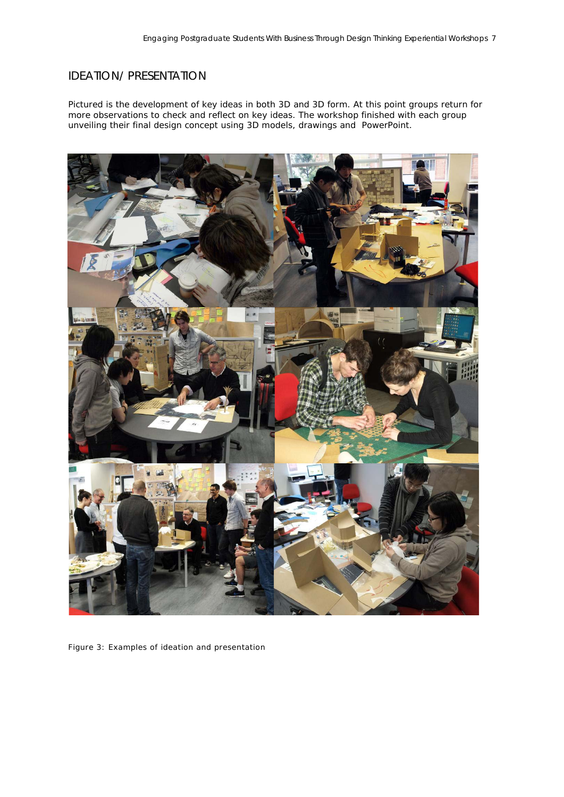#### IDEATION/ PRESENTATION

Pictured is the development of key ideas in both 3D and 3D form. At this point groups return for more observations to check and reflect on key ideas. The workshop finished with each group unveiling their final design concept using 3D models, drawings and PowerPoint.



Figure 3: Examples of ideation and presentation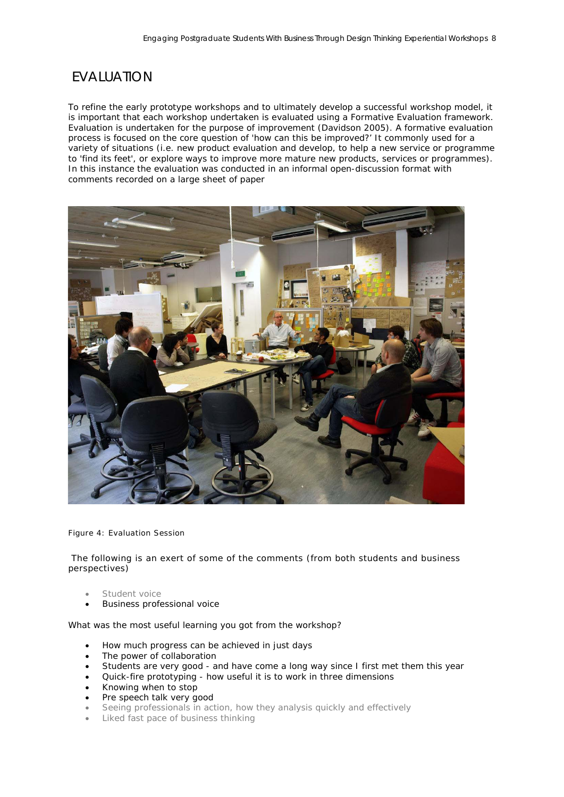# **FVALUATION**

To refine the early prototype workshops and to ultimately develop a successful workshop model, it is important that each workshop undertaken is evaluated using a Formative Evaluation framework. Evaluation is undertaken for the purpose of improvement (Davidson 2005). A formative evaluation process is focused on the core question of 'how can this be improved?' It commonly used for a variety of situations (i.e. new product evaluation and develop, to help a new service or programme to 'find its feet', or explore ways to improve more mature new products, services or programmes). In this instance the evaluation was conducted in an informal open-discussion format with comments recorded on a large sheet of paper



Figure 4: Evaluation Session

The following is an exert of some of the comments (from both students and business perspectives)

- Student voice
- Business professional voice

What was the most useful learning you got from the workshop?

- How much progress can be achieved in just days
- The power of collaboration
- Students are very good and have come a long way since I first met them this year
- Quick-fire prototyping how useful it is to work in three dimensions
- Knowing when to stop
- Pre speech talk very good
- Seeing professionals in action, how they analysis quickly and effectively
- Liked fast pace of business thinking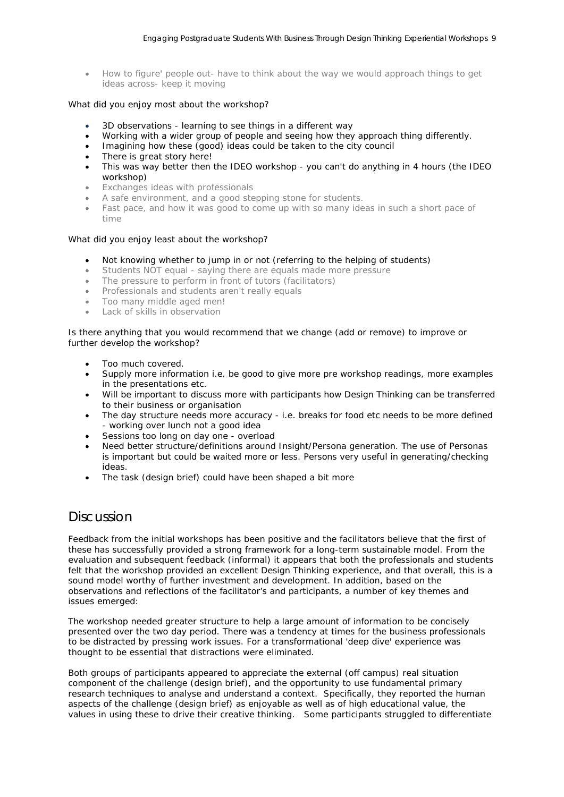• How to figure' people out- have to think about the way we would approach things to get ideas across- keep it moving

#### What did you enjoy most about the workshop?

- 3D observations learning to see things in a different way
- Working with a wider group of people and seeing how they approach thing differently.
- Imagining how these (good) ideas could be taken to the city council
- There is great story here!
- This was way better then the IDEO workshop you can't do anything in 4 hours (the IDEO workshop)
- Exchanges ideas with professionals
- A safe environment, and a good stepping stone for students.
- Fast pace, and how it was good to come up with so many ideas in such a short pace of time

#### What did you enjoy least about the workshop?

- Not knowing whether to jump in or not (referring to the helping of students)
- Students NOT equal saying there are equals made more pressure
- The pressure to perform in front of tutors (facilitators)
- Professionals and students aren't really equals
- Too many middle aged men!
- Lack of skills in observation

Is there anything that you would recommend that we change (add or remove) to improve or further develop the workshop?

- Too much covered.
- Supply more information i.e. be good to give more pre workshop readings, more examples in the presentations etc.
- Will be important to discuss more with participants how Design Thinking can be transferred to their business or organisation
- The day structure needs more accuracy i.e. breaks for food etc needs to be more defined - working over lunch not a good idea
- Sessions too long on day one overload
- Need better structure/definitions around Insight/Persona generation. The use of Personas is important but could be waited more or less. Persons very useful in generating/checking ideas.
- The task (design brief) could have been shaped a bit more

#### **Discussion**

Feedback from the initial workshops has been positive and the facilitators believe that the first of these has successfully provided a strong framework for a long-term sustainable model. From the evaluation and subsequent feedback (informal) it appears that both the professionals and students felt that the workshop provided an excellent Design Thinking experience, and that overall, this is a sound model worthy of further investment and development. In addition, based on the observations and reflections of the facilitator's and participants, a number of key themes and issues emerged:

The workshop needed greater structure to help a large amount of information to be concisely presented over the two day period. There was a tendency at times for the business professionals to be distracted by pressing work issues. For a transformational 'deep dive' experience was thought to be essential that distractions were eliminated.

Both groups of participants appeared to appreciate the external (off campus) real situation component of the challenge (design brief), and the opportunity to use fundamental primary research techniques to analyse and understand a context. Specifically, they reported the human aspects of the challenge (design brief) as enjoyable as well as of high educational value, the values in using these to drive their creative thinking. Some participants struggled to differentiate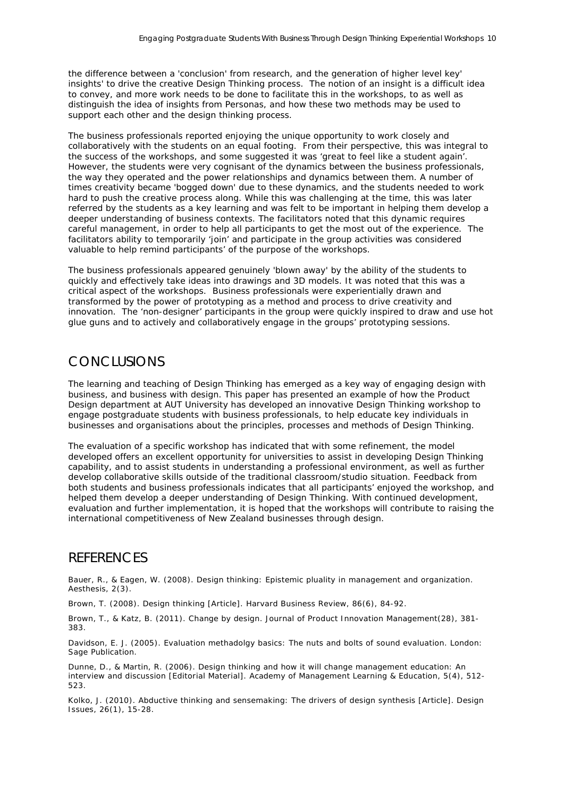the difference between a 'conclusion' from research, and the generation of higher level key' insights' to drive the creative Design Thinking process. The notion of an insight is a difficult idea to convey, and more work needs to be done to facilitate this in the workshops, to as well as distinguish the idea of insights from Personas, and how these two methods may be used to support each other and the design thinking process.

The business professionals reported enjoying the unique opportunity to work closely and collaboratively with the students on an equal footing. From their perspective, this was integral to the success of the workshops, and some suggested it was 'great to feel like a student again'. However, the students were very cognisant of the dynamics between the business professionals, the way they operated and the power relationships and dynamics between them. A number of times creativity became 'bogged down' due to these dynamics, and the students needed to work hard to push the creative process along. While this was challenging at the time, this was later referred by the students as a key learning and was felt to be important in helping them develop a deeper understanding of business contexts. The facilitators noted that this dynamic requires careful management, in order to help all participants to get the most out of the experience. The facilitators ability to temporarily 'join' and participate in the group activities was considered valuable to help remind participants' of the purpose of the workshops.

The business professionals appeared genuinely 'blown away' by the ability of the students to quickly and effectively take ideas into drawings and 3D models. It was noted that this was a critical aspect of the workshops. Business professionals were experientially drawn and transformed by the power of prototyping as a method and process to drive creativity and innovation. The 'non-designer' participants in the group were quickly inspired to draw and use hot glue guns and to actively and collaboratively engage in the groups' prototyping sessions.

# CONCLUSIONS

The learning and teaching of Design Thinking has emerged as a key way of engaging design with business, and business with design. This paper has presented an example of how the Product Design department at AUT University has developed an innovative Design Thinking workshop to engage postgraduate students with business professionals, to help educate key individuals in businesses and organisations about the principles, processes and methods of Design Thinking.

The evaluation of a specific workshop has indicated that with some refinement, the model developed offers an excellent opportunity for universities to assist in developing Design Thinking capability, and to assist students in understanding a professional environment, as well as further develop collaborative skills outside of the traditional classroom/studio situation. Feedback from both students and business professionals indicates that all participants' enjoyed the workshop, and helped them develop a deeper understanding of Design Thinking. With continued development, evaluation and further implementation, it is hoped that the workshops will contribute to raising the international competitiveness of New Zealand businesses through design.

#### **REFERENCES**

<span id="page-9-3"></span>Bauer, R., & Eagen, W. (2008). Design thinking: Epistemic pluality in management and organization. Aesthesis, 2(3).

<span id="page-9-1"></span>Brown, T. (2008). Design thinking [Article]. Harvard Business Review, 86(6), 84-92.

Brown, T., & Katz, B. (2011). Change by design. Journal of Product Innovation Management(28), 381- 383.

<span id="page-9-2"></span>Davidson, E. J. (2005). Evaluation methadolgy basics: The nuts and bolts of sound evaluation. London: Sage Publication.

<span id="page-9-0"></span>Dunne, D., & Martin, R. (2006). Design thinking and how it will change management education: An interview and discussion [Editorial Material]. Academy of Management Learning & Education, 5(4), 512- 523.

<span id="page-9-4"></span>Kolko, J. (2010). Abductive thinking and sensemaking: The drivers of design synthesis [Article]. Design Issues, 26(1), 15-28.